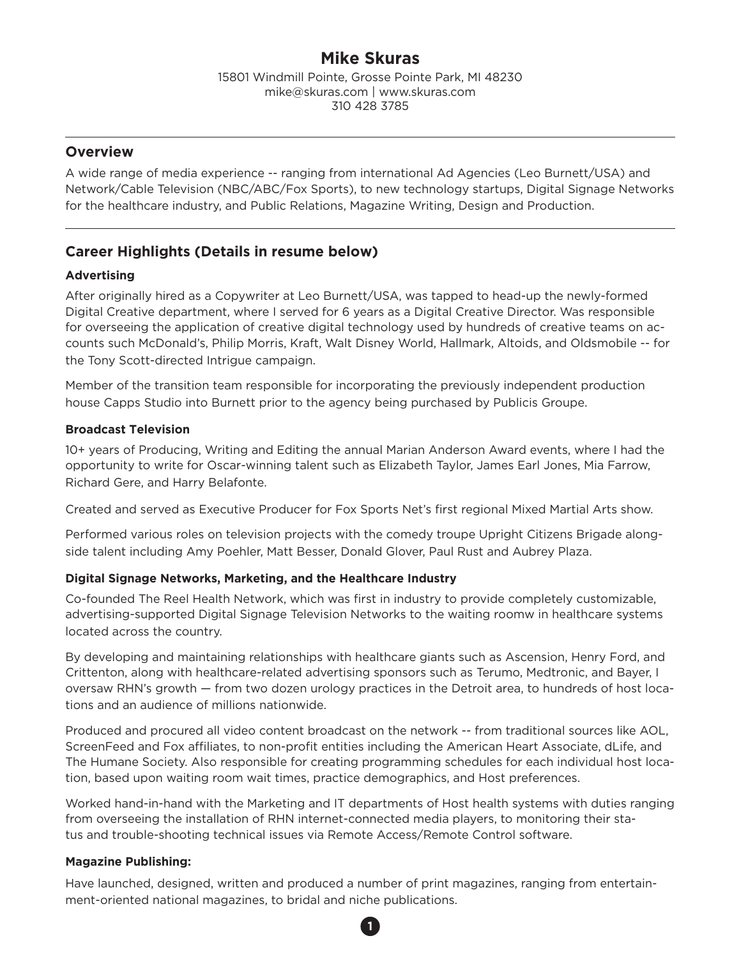# **Mike Skuras**

15801 Windmill Pointe, Grosse Pointe Park, MI 48230 mike@skuras.com | www.skuras.com 310 428 3785

# **Overview**

A wide range of media experience -- ranging from international Ad Agencies (Leo Burnett/USA) and Network/Cable Television (NBC/ABC/Fox Sports), to new technology startups, Digital Signage Networks for the healthcare industry, and Public Relations, Magazine Writing, Design and Production.

# **Career Highlights (Details in resume below)**

## **Advertising**

After originally hired as a Copywriter at Leo Burnett/USA, was tapped to head-up the newly-formed Digital Creative department, where I served for 6 years as a Digital Creative Director. Was responsible for overseeing the application of creative digital technology used by hundreds of creative teams on accounts such McDonald's, Philip Morris, Kraft, Walt Disney World, Hallmark, Altoids, and Oldsmobile -- for the Tony Scott-directed Intrigue campaign.

Member of the transition team responsible for incorporating the previously independent production house Capps Studio into Burnett prior to the agency being purchased by Publicis Groupe.

### **Broadcast Television**

10+ years of Producing, Writing and Editing the annual Marian Anderson Award events, where I had the opportunity to write for Oscar-winning talent such as Elizabeth Taylor, James Earl Jones, Mia Farrow, Richard Gere, and Harry Belafonte.

Created and served as Executive Producer for Fox Sports Net's first regional Mixed Martial Arts show.

Performed various roles on television projects with the comedy troupe Upright Citizens Brigade alongside talent including Amy Poehler, Matt Besser, Donald Glover, Paul Rust and Aubrey Plaza.

### **Digital Signage Networks, Marketing, and the Healthcare Industry**

Co-founded The Reel Health Network, which was first in industry to provide completely customizable, advertising-supported Digital Signage Television Networks to the waiting roomw in healthcare systems located across the country.

By developing and maintaining relationships with healthcare giants such as Ascension, Henry Ford, and Crittenton, along with healthcare-related advertising sponsors such as Terumo, Medtronic, and Bayer, I oversaw RHN's growth — from two dozen urology practices in the Detroit area, to hundreds of host locations and an audience of millions nationwide.

Produced and procured all video content broadcast on the network -- from traditional sources like AOL, ScreenFeed and Fox affiliates, to non-profit entities including the American Heart Associate, dLife, and The Humane Society. Also responsible for creating programming schedules for each individual host location, based upon waiting room wait times, practice demographics, and Host preferences.

Worked hand-in-hand with the Marketing and IT departments of Host health systems with duties ranging from overseeing the installation of RHN internet-connected media players, to monitoring their status and trouble-shooting technical issues via Remote Access/Remote Control software.

### **Magazine Publishing:**

Have launched, designed, written and produced a number of print magazines, ranging from entertainment-oriented national magazines, to bridal and niche publications.

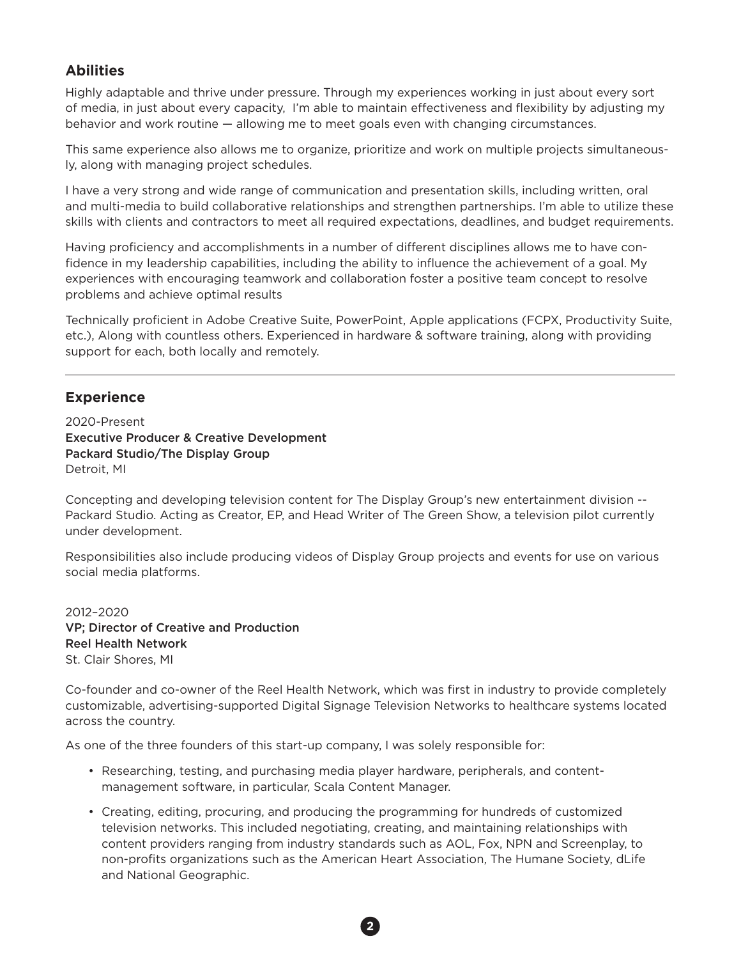# **Abilities**

Highly adaptable and thrive under pressure. Through my experiences working in just about every sort of media, in just about every capacity, I'm able to maintain effectiveness and flexibility by adjusting my behavior and work routine — allowing me to meet goals even with changing circumstances.

This same experience also allows me to organize, prioritize and work on multiple projects simultaneously, along with managing project schedules.

I have a very strong and wide range of communication and presentation skills, including written, oral and multi-media to build collaborative relationships and strengthen partnerships. I'm able to utilize these skills with clients and contractors to meet all required expectations, deadlines, and budget requirements.

Having proficiency and accomplishments in a number of different disciplines allows me to have confidence in my leadership capabilities, including the ability to influence the achievement of a goal. My experiences with encouraging teamwork and collaboration foster a positive team concept to resolve problems and achieve optimal results

Technically proficient in Adobe Creative Suite, PowerPoint, Apple applications (FCPX, Productivity Suite, etc.), Along with countless others. Experienced in hardware & software training, along with providing support for each, both locally and remotely.

## **Experience**

2020-Present Executive Producer & Creative Development Packard Studio/The Display Group Detroit, MI

Concepting and developing television content for The Display Group's new entertainment division -- Packard Studio. Acting as Creator, EP, and Head Writer of The Green Show, a television pilot currently under development.

Responsibilities also include producing videos of Display Group projects and events for use on various social media platforms.

2012–2020 VP; Director of Creative and Production Reel Health Network St. Clair Shores, MI

Co-founder and co-owner of the Reel Health Network, which was first in industry to provide completely customizable, advertising-supported Digital Signage Television Networks to healthcare systems located across the country.

As one of the three founders of this start-up company, I was solely responsible for:

- Researching, testing, and purchasing media player hardware, peripherals, and content management software, in particular, Scala Content Manager.
- Creating, editing, procuring, and producing the programming for hundreds of customized television networks. This included negotiating, creating, and maintaining relationships with content providers ranging from industry standards such as AOL, Fox, NPN and Screenplay, to non-profits organizations such as the American Heart Association, The Humane Society, dLife and National Geographic.

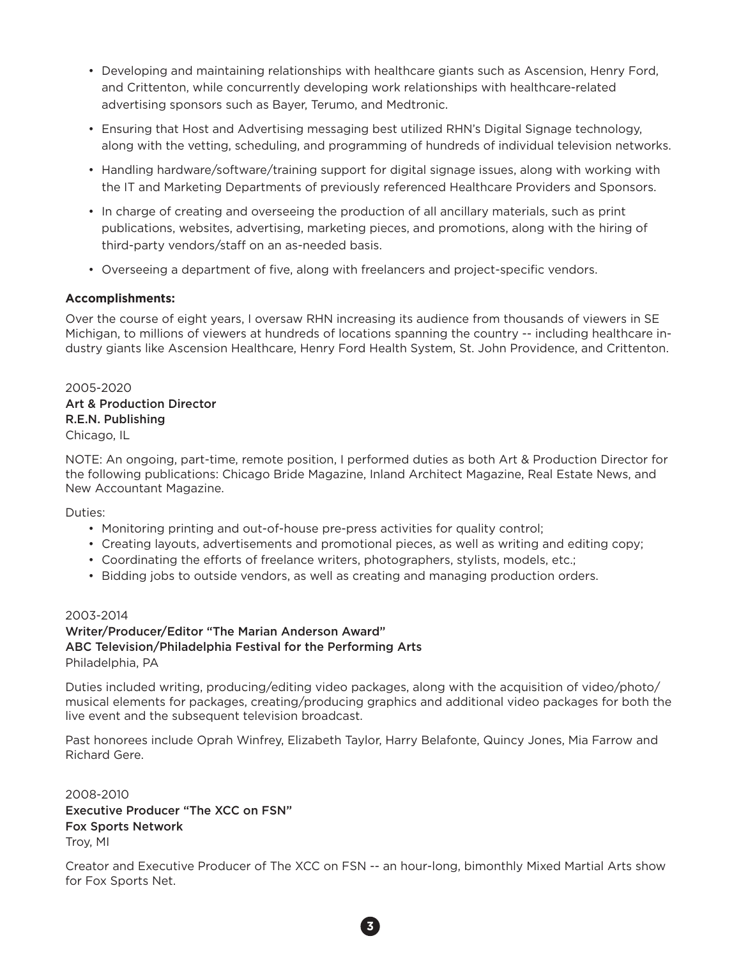- Developing and maintaining relationships with healthcare giants such as Ascension, Henry Ford, and Crittenton, while concurrently developing work relationships with healthcare-related advertising sponsors such as Bayer, Terumo, and Medtronic.
- Ensuring that Host and Advertising messaging best utilized RHN's Digital Signage technology, along with the vetting, scheduling, and programming of hundreds of individual television networks.
- Handling hardware/software/training support for digital signage issues, along with working with the IT and Marketing Departments of previously referenced Healthcare Providers and Sponsors.
- In charge of creating and overseeing the production of all ancillary materials, such as print publications, websites, advertising, marketing pieces, and promotions, along with the hiring of third-party vendors/staff on an as-needed basis.
- Overseeing a department of five, along with freelancers and project-specific vendors.

#### **Accomplishments:**

Over the course of eight years, I oversaw RHN increasing its audience from thousands of viewers in SE Michigan, to millions of viewers at hundreds of locations spanning the country -- including healthcare industry giants like Ascension Healthcare, Henry Ford Health System, St. John Providence, and Crittenton.

2005-2020 Art & Production Director R.E.N. Publishing Chicago, IL

NOTE: An ongoing, part-time, remote position, I performed duties as both Art & Production Director for the following publications: Chicago Bride Magazine, Inland Architect Magazine, Real Estate News, and New Accountant Magazine.

Duties:

- Monitoring printing and out-of-house pre-press activities for quality control;
- Creating layouts, advertisements and promotional pieces, as well as writing and editing copy;
- Coordinating the efforts of freelance writers, photographers, stylists, models, etc.;
- Bidding jobs to outside vendors, as well as creating and managing production orders.

#### 2003-2014

Writer/Producer/Editor "The Marian Anderson Award" ABC Television/Philadelphia Festival for the Performing Arts Philadelphia, PA

Duties included writing, producing/editing video packages, along with the acquisition of video/photo/ musical elements for packages, creating/producing graphics and additional video packages for both the live event and the subsequent television broadcast.

Past honorees include Oprah Winfrey, Elizabeth Taylor, Harry Belafonte, Quincy Jones, Mia Farrow and Richard Gere.

2008-2010 Executive Producer "The XCC on FSN" Fox Sports Network Troy, MI

Creator and Executive Producer of The XCC on FSN -- an hour-long, bimonthly Mixed Martial Arts show for Fox Sports Net.

**3**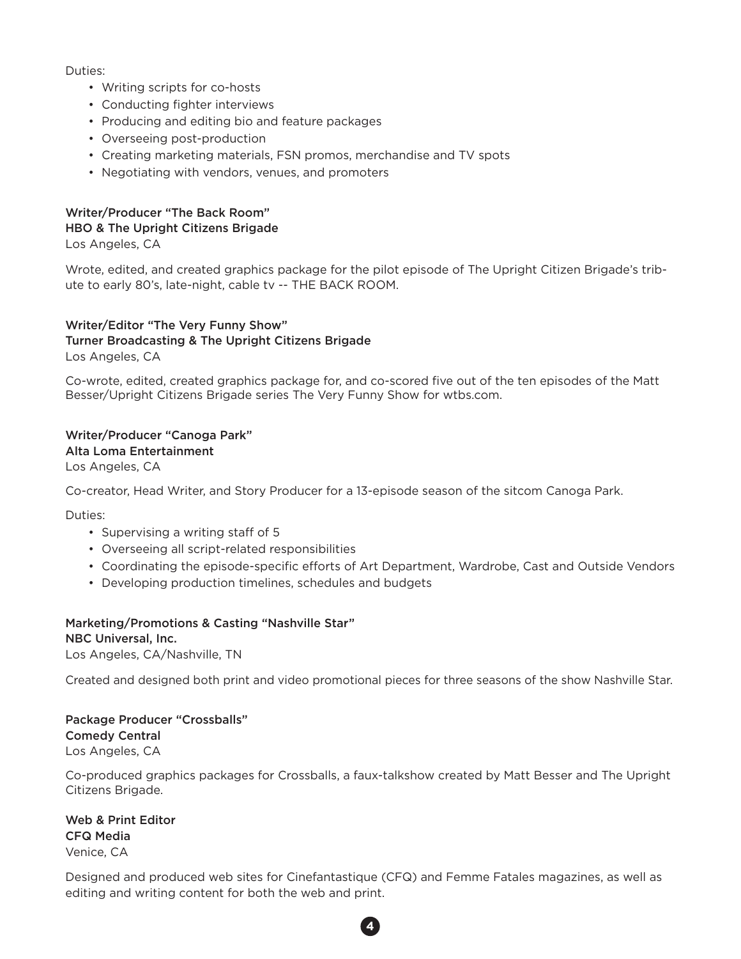Duties:

- Writing scripts for co-hosts
- Conducting fighter interviews
- Producing and editing bio and feature packages
- Overseeing post-production
- Creating marketing materials, FSN promos, merchandise and TV spots
- Negotiating with vendors, venues, and promoters

# Writer/Producer "The Back Room" HBO & The Upright Citizens Brigade

Los Angeles, CA

Wrote, edited, and created graphics package for the pilot episode of The Upright Citizen Brigade's tribute to early 80's, late-night, cable tv -- THE BACK ROOM.

#### Writer/Editor "The Very Funny Show" Turner Broadcasting & The Upright Citizens Brigade Los Angeles, CA

Co-wrote, edited, created graphics package for, and co-scored five out of the ten episodes of the Matt Besser/Upright Citizens Brigade series The Very Funny Show for wtbs.com.

# Writer/Producer "Canoga Park"

Alta Loma Entertainment

Los Angeles, CA

Co-creator, Head Writer, and Story Producer for a 13-episode season of the sitcom Canoga Park.

Duties:

- Supervising a writing staff of 5
- Overseeing all script-related responsibilities
- Coordinating the episode-specific efforts of Art Department, Wardrobe, Cast and Outside Vendors
- Developing production timelines, schedules and budgets

### Marketing/Promotions & Casting "Nashville Star"

NBC Universal, Inc.

Los Angeles, CA/Nashville, TN

Created and designed both print and video promotional pieces for three seasons of the show Nashville Star.

Package Producer "Crossballs" Comedy Central Los Angeles, CA

Co-produced graphics packages for Crossballs, a faux-talkshow created by Matt Besser and The Upright Citizens Brigade.

Web & Print Editor CFQ Media Venice, CA

Designed and produced web sites for Cinefantastique (CFQ) and Femme Fatales magazines, as well as editing and writing content for both the web and print.